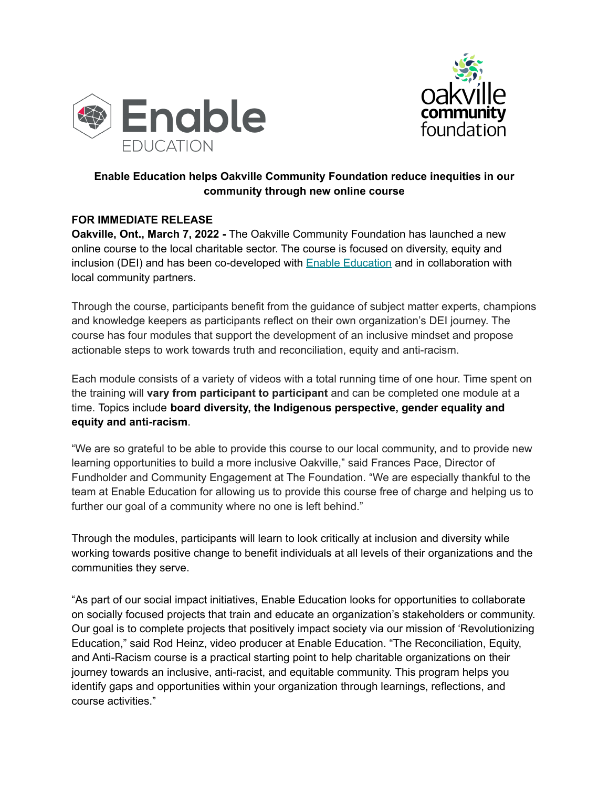



## **Enable Education helps Oakville Community Foundation reduce inequities in our community through new online course**

## **FOR IMMEDIATE RELEASE**

**Oakville, Ont., March 7, 2022 -** The Oakville Community Foundation has launched a new online course to the local charitable sector. The course is focused on diversity, equity and inclusion (DEI) and has been co-developed with Enable [Education](https://bit.ly/3AqkVTS?utm_source=Halton+Charities+2022&utm_campaign=1ec1391bd9-EMAIL_CAMPAIGN_2019_06_26_12_56_COPY_02&utm_medium=email&utm_term=0_cf2846fdc0-1ec1391bd9-&mc_cid=1ec1391bd9&mc_eid=UNIQID) and in collaboration with local community partners.

Through the course, participants benefit from the guidance of subject matter experts, champions and knowledge keepers as participants reflect on their own organization's DEI journey. The course has four modules that support the development of an inclusive mindset and propose actionable steps to work towards truth and reconciliation, equity and anti-racism.

Each module consists of a variety of videos with a total running time of one hour. Time spent on the training will **vary from participant to participant** and can be completed one module at a time. Topics include **board diversity, the Indigenous perspective, gender equality and equity and anti-racism**.

"We are so grateful to be able to provide this course to our local community, and to provide new learning opportunities to build a more inclusive Oakville," said Frances Pace, Director of Fundholder and Community Engagement at The Foundation. "We are especially thankful to the team at Enable Education for allowing us to provide this course free of charge and helping us to further our goal of a community where no one is left behind."

Through the modules, participants will learn to look critically at inclusion and diversity while working towards positive change to benefit individuals at all levels of their organizations and the communities they serve.

"As part of our social impact initiatives, Enable Education looks for opportunities to collaborate on socially focused projects that train and educate an organization's stakeholders or community. Our goal is to complete projects that positively impact society via our mission of 'Revolutionizing Education," said Rod Heinz, video producer at Enable Education. "The Reconciliation, Equity, and Anti-Racism course is a practical starting point to help charitable organizations on their journey towards an inclusive, anti-racist, and equitable community. This program helps you identify gaps and opportunities within your organization through learnings, reflections, and course activities."